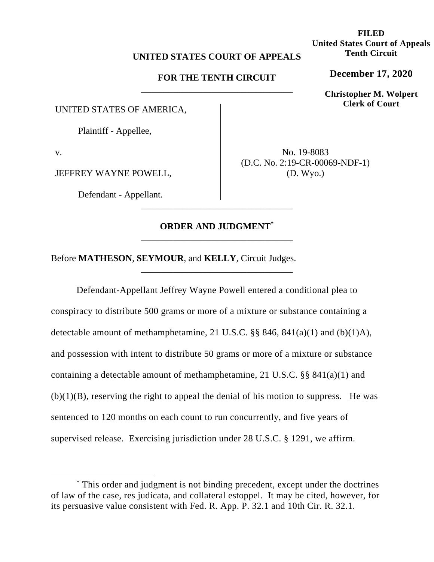## **UNITED STATES COURT OF APPEALS**

# **FOR THE TENTH CIRCUIT**  \_\_\_\_\_\_\_\_\_\_\_\_\_\_\_\_\_\_\_\_\_\_\_\_\_\_\_\_\_\_\_\_\_

UNITED STATES OF AMERICA,

Plaintiff - Appellee,

v.

JEFFREY WAYNE POWELL,

Defendant - Appellant.

No. 19-8083 (D.C. No. 2:19-CR-00069-NDF-1) (D. Wyo.)

# **ORDER AND JUDGMENT\*** \_\_\_\_\_\_\_\_\_\_\_\_\_\_\_\_\_\_\_\_\_\_\_\_\_\_\_\_\_\_\_\_\_

\_\_\_\_\_\_\_\_\_\_\_\_\_\_\_\_\_\_\_\_\_\_\_\_\_\_\_\_\_\_\_\_\_

\_\_\_\_\_\_\_\_\_\_\_\_\_\_\_\_\_\_\_\_\_\_\_\_\_\_\_\_\_\_\_\_\_

Before **MATHESON**, **SEYMOUR**, and **KELLY**, Circuit Judges.

Defendant-Appellant Jeffrey Wayne Powell entered a conditional plea to conspiracy to distribute 500 grams or more of a mixture or substance containing a detectable amount of methamphetamine, 21 U.S.C.  $\S$ § 846, 841(a)(1) and (b)(1)A), and possession with intent to distribute 50 grams or more of a mixture or substance containing a detectable amount of methamphetamine, 21 U.S.C. §§ 841(a)(1) and  $(b)(1)(B)$ , reserving the right to appeal the denial of his motion to suppress. He was sentenced to 120 months on each count to run concurrently, and five years of supervised release. Exercising jurisdiction under 28 U.S.C. § 1291, we affirm.

**FILED United States Court of Appeals Tenth Circuit** 

**December 17, 2020**

**Christopher M. Wolpert Clerk of Court**

<sup>\*</sup> This order and judgment is not binding precedent, except under the doctrines of law of the case, res judicata, and collateral estoppel. It may be cited, however, for its persuasive value consistent with Fed. R. App. P. 32.1 and 10th Cir. R. 32.1.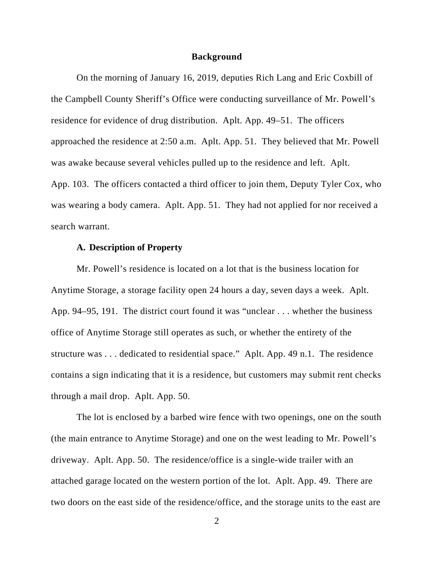#### **Background**

On the morning of January 16, 2019, deputies Rich Lang and Eric Coxbill of the Campbell County Sheriff's Office were conducting surveillance of Mr. Powell's residence for evidence of drug distribution. Aplt. App. 49–51. The officers approached the residence at 2:50 a.m. Aplt. App. 51. They believed that Mr. Powell was awake because several vehicles pulled up to the residence and left. Aplt. App. 103. The officers contacted a third officer to join them, Deputy Tyler Cox, who was wearing a body camera. Aplt. App. 51. They had not applied for nor received a search warrant.

## **A. Description of Property**

Mr. Powell's residence is located on a lot that is the business location for Anytime Storage, a storage facility open 24 hours a day, seven days a week. Aplt. App. 94–95, 191. The district court found it was "unclear . . . whether the business office of Anytime Storage still operates as such, or whether the entirety of the structure was . . . dedicated to residential space." Aplt. App. 49 n.1. The residence contains a sign indicating that it is a residence, but customers may submit rent checks through a mail drop. Aplt. App. 50.

The lot is enclosed by a barbed wire fence with two openings, one on the south (the main entrance to Anytime Storage) and one on the west leading to Mr. Powell's driveway. Aplt. App. 50. The residence/office is a single-wide trailer with an attached garage located on the western portion of the lot. Aplt. App. 49. There are two doors on the east side of the residence/office, and the storage units to the east are

2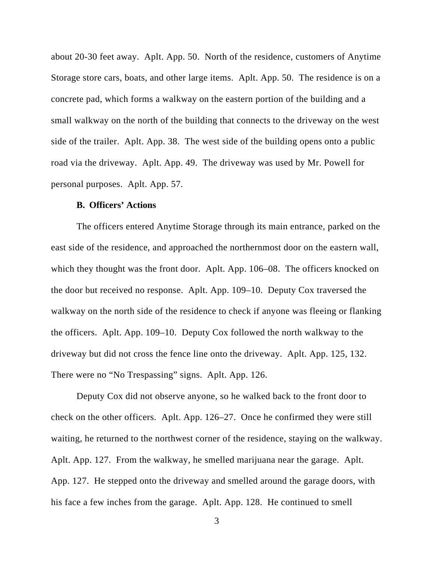about 20-30 feet away. Aplt. App. 50. North of the residence, customers of Anytime Storage store cars, boats, and other large items. Aplt. App. 50. The residence is on a concrete pad, which forms a walkway on the eastern portion of the building and a small walkway on the north of the building that connects to the driveway on the west side of the trailer. Aplt. App. 38. The west side of the building opens onto a public road via the driveway. Aplt. App. 49. The driveway was used by Mr. Powell for personal purposes. Aplt. App. 57.

#### **B. Officers' Actions**

The officers entered Anytime Storage through its main entrance, parked on the east side of the residence, and approached the northernmost door on the eastern wall, which they thought was the front door. Aplt. App. 106–08. The officers knocked on the door but received no response. Aplt. App. 109–10. Deputy Cox traversed the walkway on the north side of the residence to check if anyone was fleeing or flanking the officers. Aplt. App. 109–10. Deputy Cox followed the north walkway to the driveway but did not cross the fence line onto the driveway. Aplt. App. 125, 132. There were no "No Trespassing" signs. Aplt. App. 126.

Deputy Cox did not observe anyone, so he walked back to the front door to check on the other officers. Aplt. App. 126–27. Once he confirmed they were still waiting, he returned to the northwest corner of the residence, staying on the walkway. Aplt. App. 127. From the walkway, he smelled marijuana near the garage. Aplt. App. 127. He stepped onto the driveway and smelled around the garage doors, with his face a few inches from the garage. Aplt. App. 128. He continued to smell

3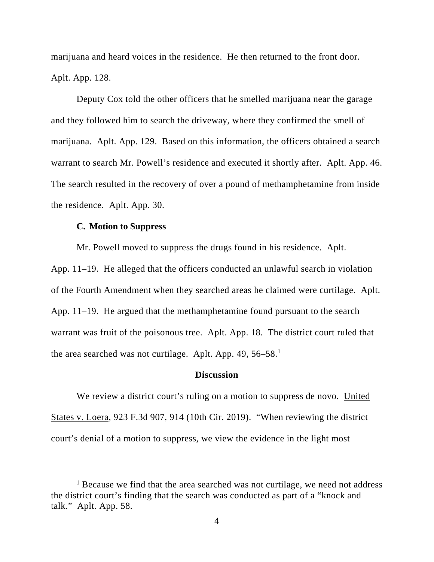marijuana and heard voices in the residence. He then returned to the front door. Aplt. App. 128.

Deputy Cox told the other officers that he smelled marijuana near the garage and they followed him to search the driveway, where they confirmed the smell of marijuana. Aplt. App. 129. Based on this information, the officers obtained a search warrant to search Mr. Powell's residence and executed it shortly after. Aplt. App. 46. The search resulted in the recovery of over a pound of methamphetamine from inside the residence. Aplt. App. 30.

### **C. Motion to Suppress**

Mr. Powell moved to suppress the drugs found in his residence. Aplt.

App. 11–19. He alleged that the officers conducted an unlawful search in violation of the Fourth Amendment when they searched areas he claimed were curtilage. Aplt. App. 11–19. He argued that the methamphetamine found pursuant to the search warrant was fruit of the poisonous tree. Aplt. App. 18. The district court ruled that the area searched was not curtilage. Aplt. App. 49, 56–58.<sup>1</sup>

# **Discussion**

We review a district court's ruling on a motion to suppress de novo. United States v. Loera, 923 F.3d 907, 914 (10th Cir. 2019). "When reviewing the district court's denial of a motion to suppress, we view the evidence in the light most

<sup>&</sup>lt;sup>1</sup> Because we find that the area searched was not curtilage, we need not address the district court's finding that the search was conducted as part of a "knock and talk." Aplt. App. 58.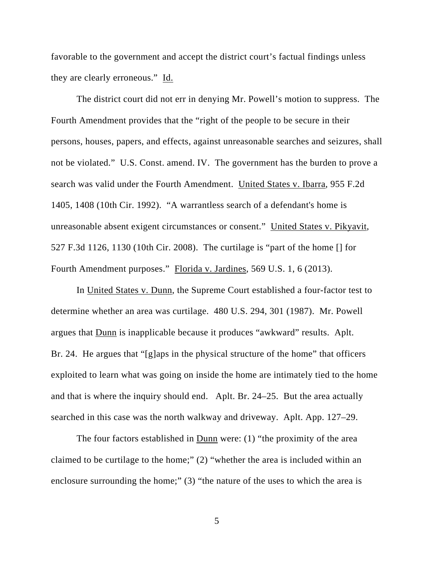favorable to the government and accept the district court's factual findings unless they are clearly erroneous." Id.

The district court did not err in denying Mr. Powell's motion to suppress. The Fourth Amendment provides that the "right of the people to be secure in their persons, houses, papers, and effects, against unreasonable searches and seizures, shall not be violated." U.S. Const. amend. IV. The government has the burden to prove a search was valid under the Fourth Amendment. United States v. Ibarra, 955 F.2d 1405, 1408 (10th Cir. 1992). "A warrantless search of a defendant's home is unreasonable absent exigent circumstances or consent." United States v. Pikyavit, 527 F.3d 1126, 1130 (10th Cir. 2008). The curtilage is "part of the home [] for Fourth Amendment purposes." Florida v. Jardines, 569 U.S. 1, 6 (2013).

In United States v. Dunn, the Supreme Court established a four-factor test to determine whether an area was curtilage. 480 U.S. 294, 301 (1987). Mr. Powell argues that Dunn is inapplicable because it produces "awkward" results. Aplt. Br. 24. He argues that "[g]aps in the physical structure of the home" that officers exploited to learn what was going on inside the home are intimately tied to the home and that is where the inquiry should end. Aplt. Br. 24–25. But the area actually searched in this case was the north walkway and driveway. Aplt. App. 127–29.

The four factors established in  $Dunn$  were: (1) "the proximity of the area</u> claimed to be curtilage to the home;" (2) "whether the area is included within an enclosure surrounding the home;" (3) "the nature of the uses to which the area is

5